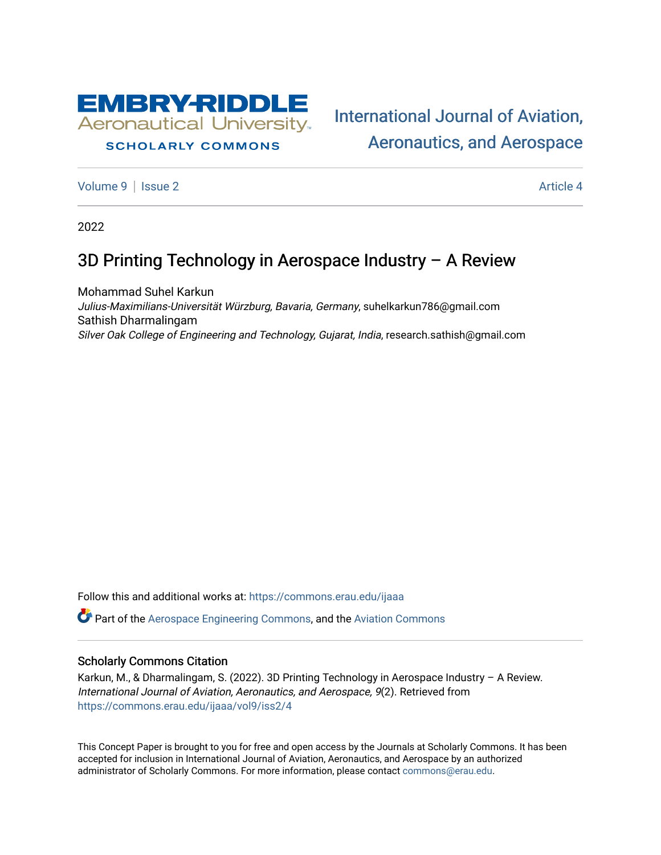

# **SCHOLARLY COMMONS**

[International Journal of Aviation,](https://commons.erau.edu/ijaaa)  [Aeronautics, and Aerospace](https://commons.erau.edu/ijaaa) 

[Volume 9](https://commons.erau.edu/ijaaa/vol9) | [Issue 2](https://commons.erau.edu/ijaaa/vol9/iss2) Article 4

2022

# 3D Printing Technology in Aerospace Industry – A Review

Mohammad Suhel Karkun Julius-Maximilians-Universität Würzburg, Bavaria, Germany, suhelkarkun786@gmail.com Sathish Dharmalingam Silver Oak College of Engineering and Technology, Gujarat, India, research.sathish@gmail.com

Follow this and additional works at: [https://commons.erau.edu/ijaaa](https://commons.erau.edu/ijaaa?utm_source=commons.erau.edu%2Fijaaa%2Fvol9%2Fiss2%2F4&utm_medium=PDF&utm_campaign=PDFCoverPages) 

Part of the [Aerospace Engineering Commons](https://network.bepress.com/hgg/discipline/218?utm_source=commons.erau.edu%2Fijaaa%2Fvol9%2Fiss2%2F4&utm_medium=PDF&utm_campaign=PDFCoverPages), and the [Aviation Commons](https://network.bepress.com/hgg/discipline/1297?utm_source=commons.erau.edu%2Fijaaa%2Fvol9%2Fiss2%2F4&utm_medium=PDF&utm_campaign=PDFCoverPages) 

#### Scholarly Commons Citation

Karkun, M., & Dharmalingam, S. (2022). 3D Printing Technology in Aerospace Industry – A Review. International Journal of Aviation, Aeronautics, and Aerospace, 9(2). Retrieved from [https://commons.erau.edu/ijaaa/vol9/iss2/4](https://commons.erau.edu/ijaaa/vol9/iss2/4?utm_source=commons.erau.edu%2Fijaaa%2Fvol9%2Fiss2%2F4&utm_medium=PDF&utm_campaign=PDFCoverPages)

This Concept Paper is brought to you for free and open access by the Journals at Scholarly Commons. It has been accepted for inclusion in International Journal of Aviation, Aeronautics, and Aerospace by an authorized administrator of Scholarly Commons. For more information, please contact [commons@erau.edu](mailto:commons@erau.edu).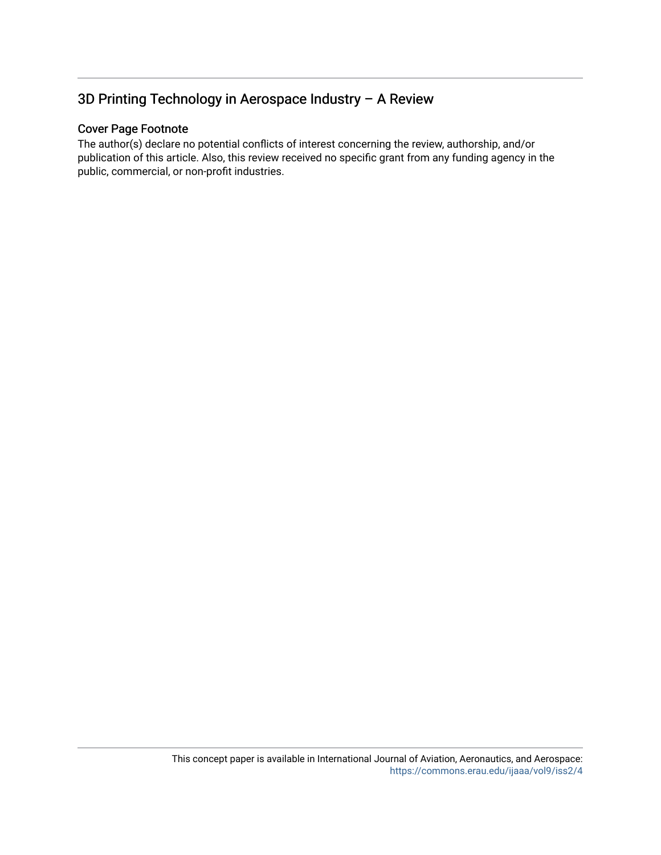# 3D Printing Technology in Aerospace Industry – A Review

#### Cover Page Footnote

The author(s) declare no potential conflicts of interest concerning the review, authorship, and/or publication of this article. Also, this review received no specific grant from any funding agency in the public, commercial, or non-profit industries.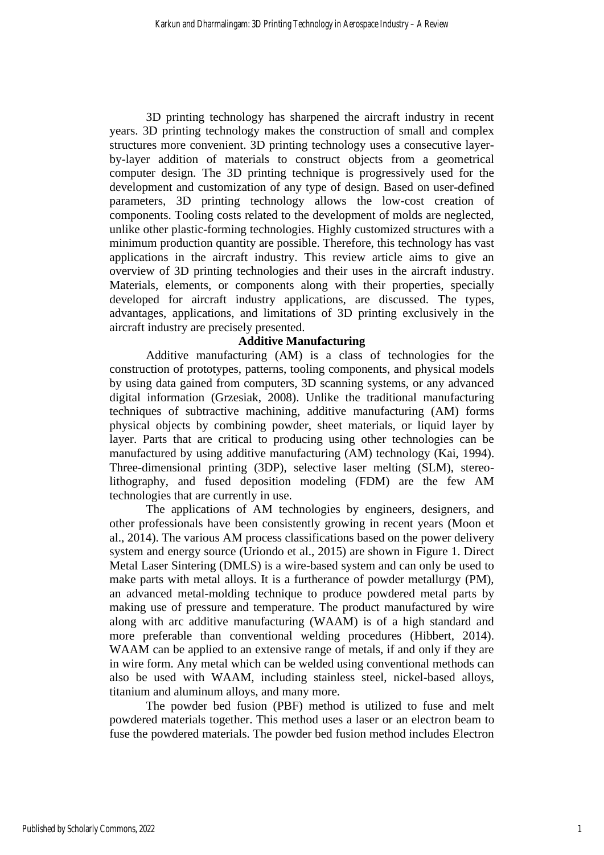3D printing technology has sharpened the aircraft industry in recent years. 3D printing technology makes the construction of small and complex structures more convenient. 3D printing technology uses a consecutive layerby-layer addition of materials to construct objects from a geometrical computer design. The 3D printing technique is progressively used for the development and customization of any type of design. Based on user-defined parameters, 3D printing technology allows the low-cost creation of components. Tooling costs related to the development of molds are neglected, unlike other plastic-forming technologies. Highly customized structures with a minimum production quantity are possible. Therefore, this technology has vast applications in the aircraft industry. This review article aims to give an overview of 3D printing technologies and their uses in the aircraft industry. Materials, elements, or components along with their properties, specially developed for aircraft industry applications, are discussed. The types, advantages, applications, and limitations of 3D printing exclusively in the aircraft industry are precisely presented.

# **Additive Manufacturing**

Additive manufacturing (AM) is a class of technologies for the construction of prototypes, patterns, tooling components, and physical models by using data gained from computers, 3D scanning systems, or any advanced digital information (Grzesiak, 2008). Unlike the traditional manufacturing techniques of subtractive machining, additive manufacturing (AM) forms physical objects by combining powder, sheet materials, or liquid layer by layer. Parts that are critical to producing using other technologies can be manufactured by using additive manufacturing (AM) technology (Kai, 1994). Three-dimensional printing (3DP), selective laser melting (SLM), stereolithography, and fused deposition modeling (FDM) are the few AM technologies that are currently in use.

The applications of AM technologies by engineers, designers, and other professionals have been consistently growing in recent years (Moon et al., 2014). The various AM process classifications based on the power delivery system and energy source (Uriondo et al., 2015) are shown in Figure 1. Direct Metal Laser Sintering (DMLS) is a wire-based system and can only be used to make parts with metal alloys. It is a furtherance of powder metallurgy (PM), an advanced metal-molding technique to produce powdered metal parts by making use of pressure and temperature. The product manufactured by wire along with arc additive manufacturing (WAAM) is of a high standard and more preferable than conventional welding procedures (Hibbert, 2014). WAAM can be applied to an extensive range of metals, if and only if they are in wire form. Any metal which can be welded using conventional methods can also be used with WAAM, including stainless steel, nickel-based alloys, titanium and aluminum alloys, and many more.

The powder bed fusion (PBF) method is utilized to fuse and melt powdered materials together. This method uses a laser or an electron beam to fuse the powdered materials. The powder bed fusion method includes Electron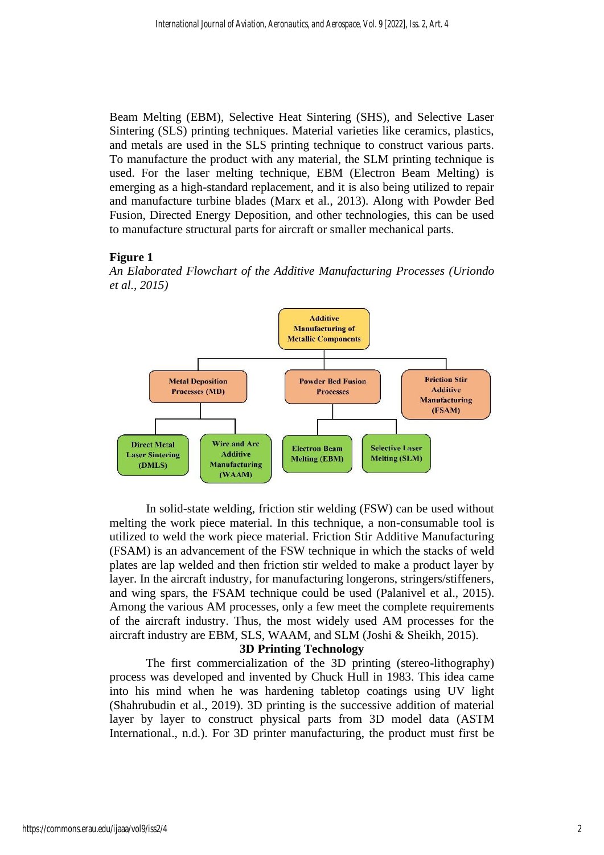Beam Melting (EBM), Selective Heat Sintering (SHS), and Selective Laser Sintering (SLS) printing techniques. Material varieties like ceramics, plastics, and metals are used in the SLS printing technique to construct various parts. To manufacture the product with any material, the SLM printing technique is used. For the laser melting technique, EBM (Electron Beam Melting) is emerging as a high-standard replacement, and it is also being utilized to repair and manufacture turbine blades (Marx et al., 2013). Along with Powder Bed Fusion, Directed Energy Deposition, and other technologies, this can be used to manufacture structural parts for aircraft or smaller mechanical parts.

#### **Figure 1**

*An Elaborated Flowchart of the Additive Manufacturing Processes (Uriondo et al., 2015)*



In solid-state welding, friction stir welding (FSW) can be used without melting the work piece material. In this technique, a non-consumable tool is utilized to weld the work piece material. Friction Stir Additive Manufacturing (FSAM) is an advancement of the FSW technique in which the stacks of weld plates are lap welded and then friction stir welded to make a product layer by layer. In the aircraft industry, for manufacturing longerons, stringers/stiffeners, and wing spars, the FSAM technique could be used (Palanivel et al., 2015). Among the various AM processes, only a few meet the complete requirements of the aircraft industry. Thus, the most widely used AM processes for the aircraft industry are EBM, SLS, WAAM, and SLM (Joshi & Sheikh, 2015).

#### **3D Printing Technology**

The first commercialization of the 3D printing (stereo-lithography) process was developed and invented by Chuck Hull in 1983. This idea came into his mind when he was hardening tabletop coatings using UV light (Shahrubudin et al., 2019). 3D printing is the successive addition of material layer by layer to construct physical parts from 3D model data (ASTM International., n.d.). For 3D printer manufacturing, the product must first be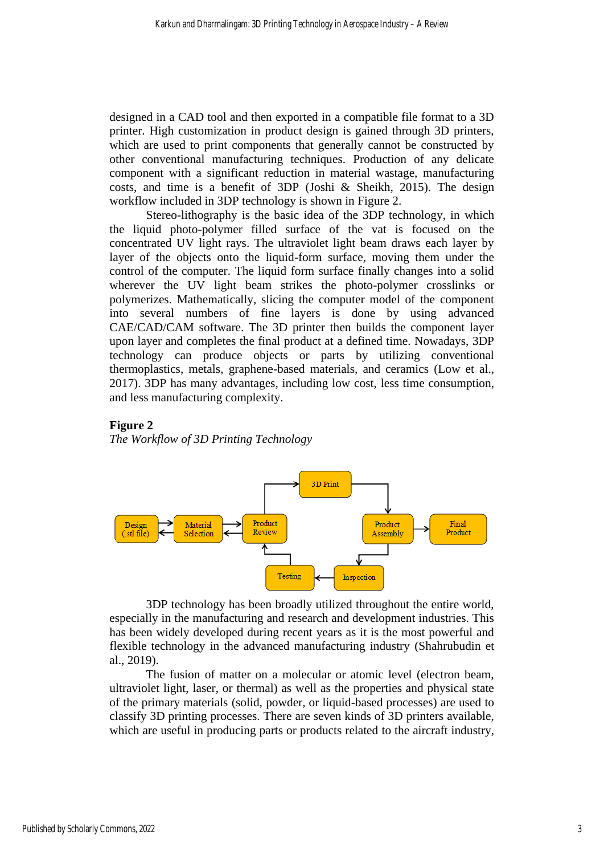designed in a CAD tool and then exported in a compatible file format to a 3D printer. High customization in product design is gained through 3D printers, which are used to print components that generally cannot be constructed by other conventional manufacturing techniques. Production of any delicate component with a significant reduction in material wastage, manufacturing costs, and time is a benefit of 3DP (Joshi & Sheikh, 2015). The design workflow included in 3DP technology is shown in Figure 2.

Stereo-lithography is the basic idea of the 3DP technology, in which the liquid photo-polymer filled surface of the vat is focused on the concentrated UV light rays. The ultraviolet light beam draws each layer by layer of the objects onto the liquid-form surface, moving them under the control of the computer. The liquid form surface finally changes into a solid wherever the UV light beam strikes the photo-polymer crosslinks or polymerizes. Mathematically, slicing the computer model of the component into several numbers of fine layers is done by using advanced CAE/CAD/CAM software. The 3D printer then builds the component layer upon layer and completes the final product at a defined time. Nowadays, 3DP technology can produce objects or parts by utilizing conventional thermoplastics, metals, graphene-based materials, and ceramics (Low et al., 2017). 3DP has many advantages, including low cost, less time consumption, and less manufacturing complexity.

# **Figure 2**

*The Workflow of 3D Printing Technology*



3DP technology has been broadly utilized throughout the entire world, especially in the manufacturing and research and development industries. This has been widely developed during recent years as it is the most powerful and flexible technology in the advanced manufacturing industry (Shahrubudin et al., 2019).

The fusion of matter on a molecular or atomic level (electron beam, ultraviolet light, laser, or thermal) as well as the properties and physical state of the primary materials (solid, powder, or liquid-based processes) are used to classify 3D printing processes. There are seven kinds of 3D printers available, which are useful in producing parts or products related to the aircraft industry,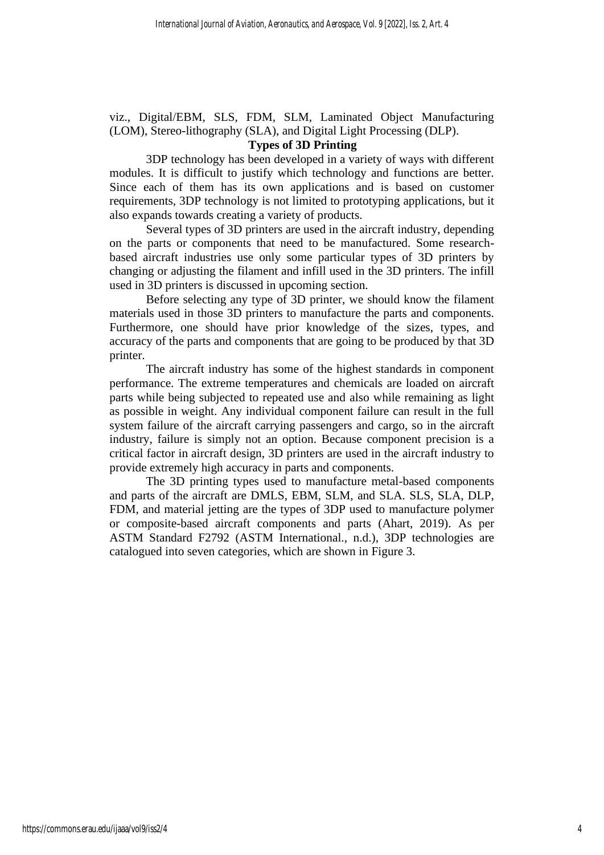viz., Digital/EBM, SLS, FDM, SLM, Laminated Object Manufacturing (LOM), Stereo-lithography (SLA), and Digital Light Processing (DLP).

# **Types of 3D Printing**

3DP technology has been developed in a variety of ways with different modules. It is difficult to justify which technology and functions are better. Since each of them has its own applications and is based on customer requirements, 3DP technology is not limited to prototyping applications, but it also expands towards creating a variety of products.

Several types of 3D printers are used in the aircraft industry, depending on the parts or components that need to be manufactured. Some researchbased aircraft industries use only some particular types of 3D printers by changing or adjusting the filament and infill used in the 3D printers. The infill used in 3D printers is discussed in upcoming section.

Before selecting any type of 3D printer, we should know the filament materials used in those 3D printers to manufacture the parts and components. Furthermore, one should have prior knowledge of the sizes, types, and accuracy of the parts and components that are going to be produced by that 3D printer.

The aircraft industry has some of the highest standards in component performance. The extreme temperatures and chemicals are loaded on aircraft parts while being subjected to repeated use and also while remaining as light as possible in weight. Any individual component failure can result in the full system failure of the aircraft carrying passengers and cargo, so in the aircraft industry, failure is simply not an option. Because component precision is a critical factor in aircraft design, 3D printers are used in the aircraft industry to provide extremely high accuracy in parts and components.

The 3D printing types used to manufacture metal-based components and parts of the aircraft are DMLS, EBM, SLM, and SLA. SLS, SLA, DLP, FDM, and material jetting are the types of 3DP used to manufacture polymer or composite-based aircraft components and parts (Ahart, 2019). As per ASTM Standard F2792 (ASTM International., n.d.), 3DP technologies are catalogued into seven categories, which are shown in Figure 3.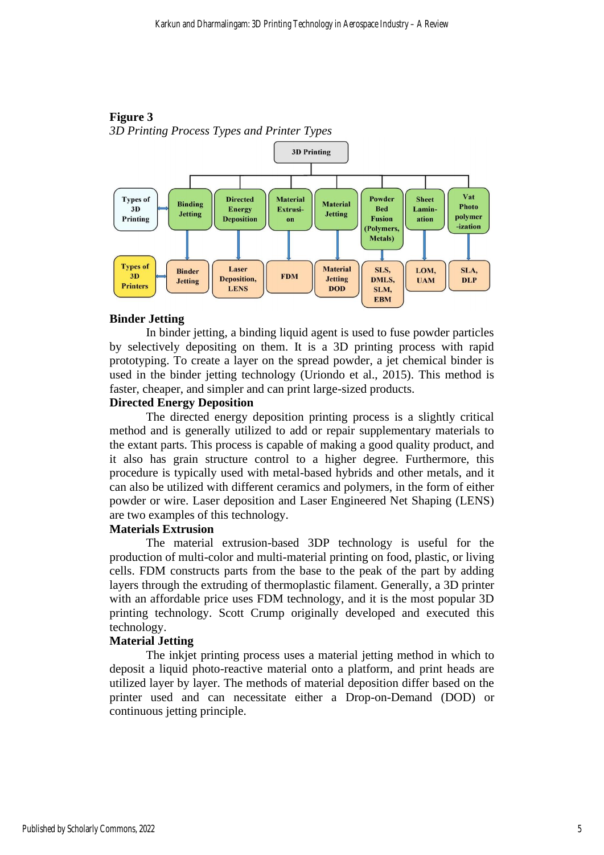



# **Binder Jetting**

In binder jetting, a binding liquid agent is used to fuse powder particles by selectively depositing on them. It is a 3D printing process with rapid prototyping. To create a layer on the spread powder, a jet chemical binder is used in the binder jetting technology (Uriondo et al., 2015). This method is faster, cheaper, and simpler and can print large-sized products.

#### **Directed Energy Deposition**

The directed energy deposition printing process is a slightly critical method and is generally utilized to add or repair supplementary materials to the extant parts. This process is capable of making a good quality product, and it also has grain structure control to a higher degree. Furthermore, this procedure is typically used with metal-based hybrids and other metals, and it can also be utilized with different ceramics and polymers, in the form of either powder or wire. Laser deposition and Laser Engineered Net Shaping (LENS) are two examples of this technology.

# **Materials Extrusion**

The material extrusion-based 3DP technology is useful for the production of multi-color and multi-material printing on food, plastic, or living cells. FDM constructs parts from the base to the peak of the part by adding layers through the extruding of thermoplastic filament. Generally, a 3D printer with an affordable price uses FDM technology, and it is the most popular 3D printing technology. Scott Crump originally developed and executed this technology.

# **Material Jetting**

The inkjet printing process uses a material jetting method in which to deposit a liquid photo-reactive material onto a platform, and print heads are utilized layer by layer. The methods of material deposition differ based on the printer used and can necessitate either a Drop-on-Demand (DOD) or continuous jetting principle.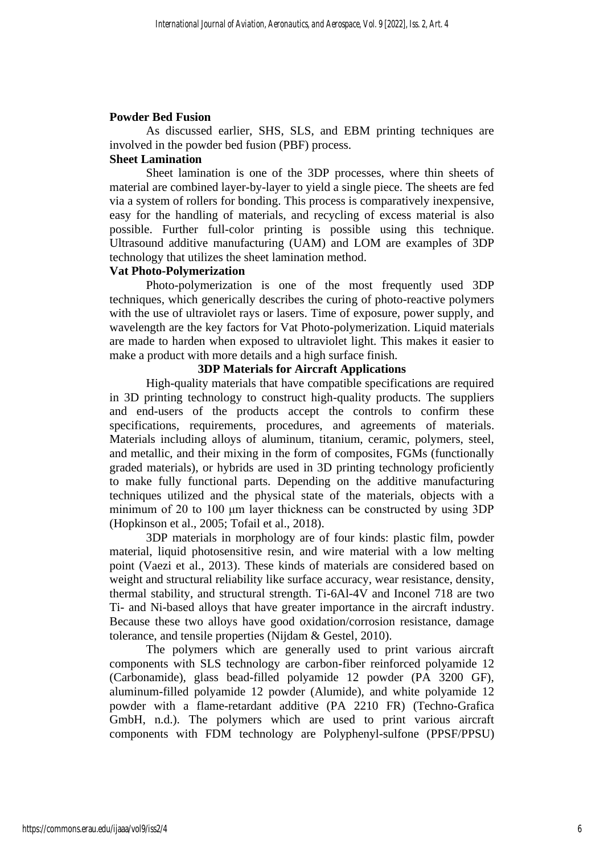#### **Powder Bed Fusion**

As discussed earlier, SHS, SLS, and EBM printing techniques are involved in the powder bed fusion (PBF) process.

# **Sheet Lamination**

Sheet lamination is one of the 3DP processes, where thin sheets of material are combined layer-by-layer to yield a single piece. The sheets are fed via a system of rollers for bonding. This process is comparatively inexpensive, easy for the handling of materials, and recycling of excess material is also possible. Further full-color printing is possible using this technique. Ultrasound additive manufacturing (UAM) and LOM are examples of 3DP technology that utilizes the sheet lamination method.

#### **Vat Photo-Polymerization**

Photo-polymerization is one of the most frequently used 3DP techniques, which generically describes the curing of photo-reactive polymers with the use of ultraviolet rays or lasers. Time of exposure, power supply, and wavelength are the key factors for Vat Photo-polymerization. Liquid materials are made to harden when exposed to ultraviolet light. This makes it easier to make a product with more details and a high surface finish.

#### **3DP Materials for Aircraft Applications**

High-quality materials that have compatible specifications are required in 3D printing technology to construct high-quality products. The suppliers and end-users of the products accept the controls to confirm these specifications, requirements, procedures, and agreements of materials. Materials including alloys of aluminum, titanium, ceramic, polymers, steel, and metallic, and their mixing in the form of composites, FGMs (functionally graded materials), or hybrids are used in 3D printing technology proficiently to make fully functional parts. Depending on the additive manufacturing techniques utilized and the physical state of the materials, objects with a minimum of 20 to 100 μm layer thickness can be constructed by using 3DP (Hopkinson et al., 2005; Tofail et al., 2018).

3DP materials in morphology are of four kinds: plastic film, powder material, liquid photosensitive resin, and wire material with a low melting point (Vaezi et al., 2013). These kinds of materials are considered based on weight and structural reliability like surface accuracy, wear resistance, density, thermal stability, and structural strength. Ti-6Al-4V and Inconel 718 are two Ti- and Ni-based alloys that have greater importance in the aircraft industry. Because these two alloys have good oxidation/corrosion resistance, damage tolerance, and tensile properties (Nijdam & Gestel, 2010).

The polymers which are generally used to print various aircraft components with SLS technology are carbon-fiber reinforced polyamide 12 (Carbonamide), glass bead-filled polyamide 12 powder (PA 3200 GF), aluminum-filled polyamide 12 powder (Alumide), and white polyamide 12 powder with a flame-retardant additive (PA 2210 FR) (Techno-Grafica GmbH, n.d.). The polymers which are used to print various aircraft components with FDM technology are Polyphenyl-sulfone (PPSF/PPSU)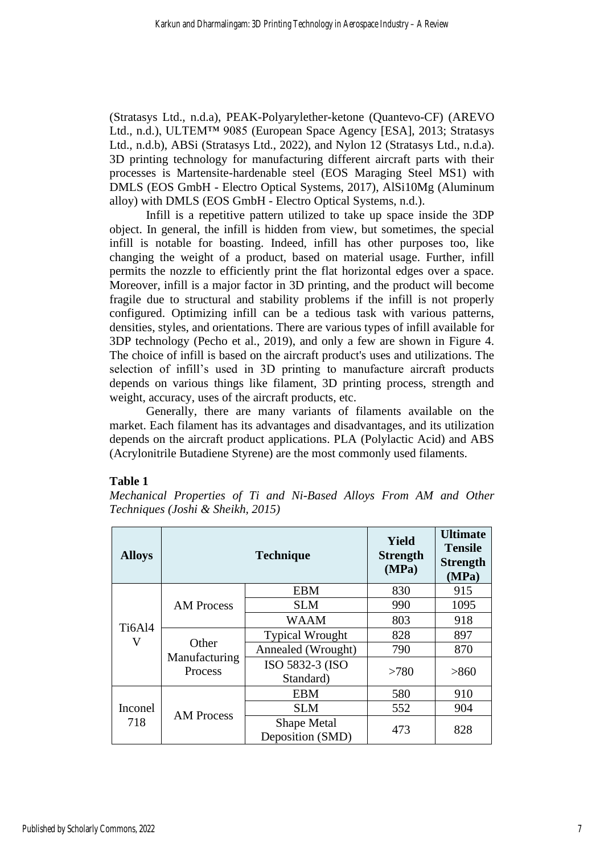(Stratasys Ltd., n.d.a), PEAK-Polyarylether-ketone (Quantevo-CF) (AREVO Ltd., n.d.), ULTEM™ 9085 (European Space Agency [ESA], 2013; Stratasys Ltd., n.d.b), ABSi (Stratasys Ltd., 2022), and Nylon 12 (Stratasys Ltd., n.d.a). 3D printing technology for manufacturing different aircraft parts with their processes is Martensite-hardenable steel (EOS Maraging Steel MS1) with DMLS (EOS GmbH - Electro Optical Systems, 2017), AlSi10Mg (Aluminum alloy) with DMLS (EOS GmbH - Electro Optical Systems, n.d.).

Infill is a repetitive pattern utilized to take up space inside the 3DP object. In general, the infill is hidden from view, but sometimes, the special infill is notable for boasting. Indeed, infill has other purposes too, like changing the weight of a product, based on material usage. Further, infill permits the nozzle to efficiently print the flat horizontal edges over a space. Moreover, infill is a major factor in 3D printing, and the product will become fragile due to structural and stability problems if the infill is not properly configured. Optimizing infill can be a tedious task with various patterns, densities, styles, and orientations. There are various types of infill available for 3DP technology (Pecho et al., 2019), and only a few are shown in Figure 4. The choice of infill is based on the aircraft product's uses and utilizations. The selection of infill's used in 3D printing to manufacture aircraft products depends on various things like filament, 3D printing process, strength and weight, accuracy, uses of the aircraft products, etc.

Generally, there are many variants of filaments available on the market. Each filament has its advantages and disadvantages, and its utilization depends on the aircraft product applications. PLA (Polylactic Acid) and ABS (Acrylonitrile Butadiene Styrene) are the most commonly used filaments.

# **Table 1**

*Mechanical Properties of Ti and Ni-Based Alloys From AM and Other Techniques (Joshi & Sheikh, 2015)*

| <b>Alloys</b>      |                                   | <b>Technique</b>                       | <b>Yield</b><br><b>Strength</b><br>(MPa) | <b>Ultimate</b><br><b>Tensile</b><br><b>Strength</b><br>(MPa) |
|--------------------|-----------------------------------|----------------------------------------|------------------------------------------|---------------------------------------------------------------|
| <b>Ti6Al4</b><br>V | <b>AM Process</b>                 | <b>EBM</b>                             | 830                                      | 915                                                           |
|                    |                                   | <b>SLM</b>                             | 990                                      | 1095                                                          |
|                    |                                   | <b>WAAM</b>                            | 803                                      | 918                                                           |
|                    | Other<br>Manufacturing<br>Process | <b>Typical Wrought</b>                 | 828                                      | 897                                                           |
|                    |                                   | Annealed (Wrought)                     | 790                                      | 870                                                           |
|                    |                                   | ISO 5832-3 (ISO<br>Standard)           | >780                                     | >860                                                          |
| Inconel<br>718     | <b>AM Process</b>                 | <b>EBM</b>                             | 580                                      | 910                                                           |
|                    |                                   | <b>SLM</b>                             | 552                                      | 904                                                           |
|                    |                                   | <b>Shape Metal</b><br>Deposition (SMD) | 473                                      | 828                                                           |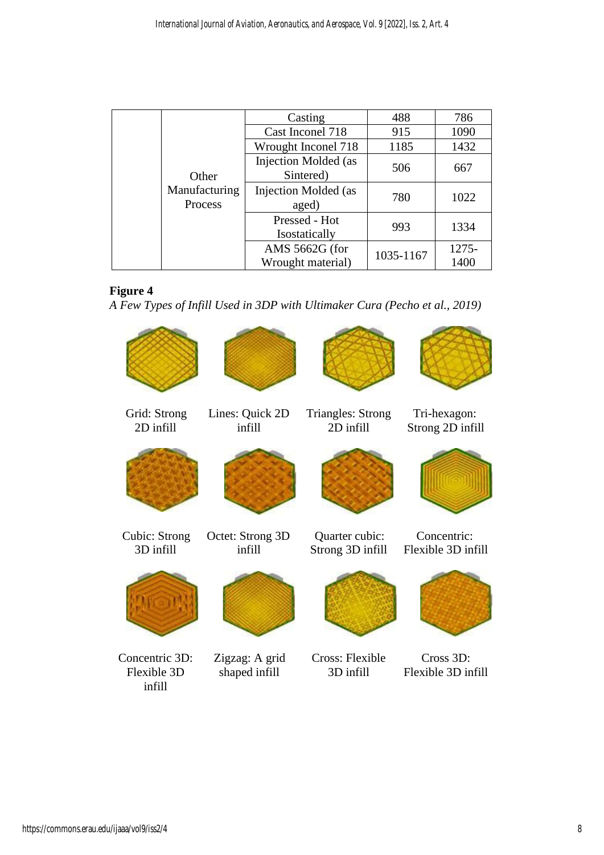|                          | Casting                                  | 488       | 786      |
|--------------------------|------------------------------------------|-----------|----------|
|                          | Cast Inconel 718                         |           | 1090     |
|                          | Wrought Inconel 718                      | 1185      | 1432     |
| Other                    | <b>Injection Molded</b> (as<br>Sintered) | 506       | 667      |
| Manufacturing<br>Process | Injection Molded (as<br>aged)            | 780       | 1022     |
|                          | Pressed - Hot<br>Isostatically           | 993       | 1334     |
|                          | AMS 5662G (for                           | 1035-1167 | $1275 -$ |
|                          | Wrought material)                        |           | 1400     |

# **Figure 4**

*A Few Types of Infill Used in 3DP with Ultimaker Cura (Pecho et al., 2019)*

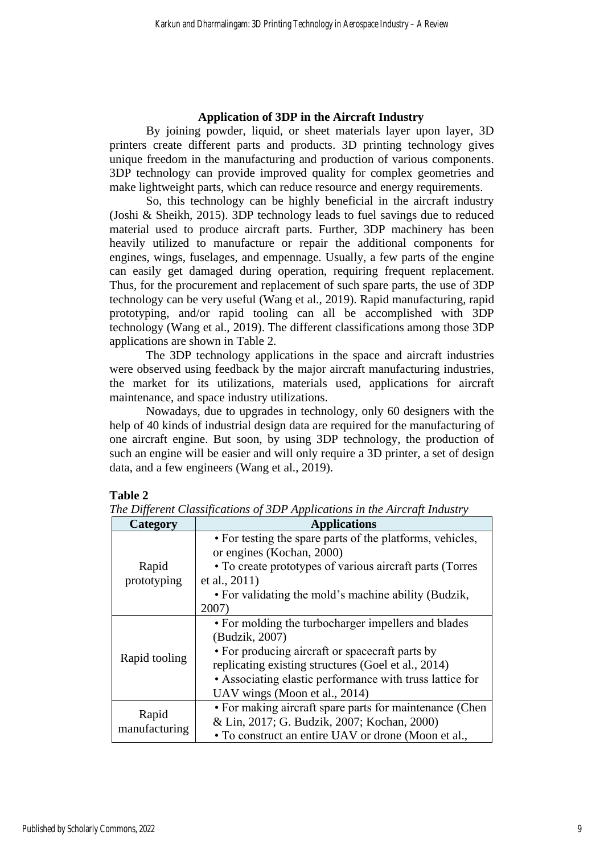### **Application of 3DP in the Aircraft Industry**

By joining powder, liquid, or sheet materials layer upon layer, 3D printers create different parts and products. 3D printing technology gives unique freedom in the manufacturing and production of various components. 3DP technology can provide improved quality for complex geometries and make lightweight parts, which can reduce resource and energy requirements.

So, this technology can be highly beneficial in the aircraft industry (Joshi & Sheikh, 2015). 3DP technology leads to fuel savings due to reduced material used to produce aircraft parts. Further, 3DP machinery has been heavily utilized to manufacture or repair the additional components for engines, wings, fuselages, and empennage. Usually, a few parts of the engine can easily get damaged during operation, requiring frequent replacement. Thus, for the procurement and replacement of such spare parts, the use of 3DP technology can be very useful (Wang et al., 2019). Rapid manufacturing, rapid prototyping, and/or rapid tooling can all be accomplished with 3DP technology (Wang et al., 2019). The different classifications among those 3DP applications are shown in Table 2.

The 3DP technology applications in the space and aircraft industries were observed using feedback by the major aircraft manufacturing industries, the market for its utilizations, materials used, applications for aircraft maintenance, and space industry utilizations.

Nowadays, due to upgrades in technology, only 60 designers with the help of 40 kinds of industrial design data are required for the manufacturing of one aircraft engine. But soon, by using 3DP technology, the production of such an engine will be easier and will only require a 3D printer, a set of design data, and a few engineers (Wang et al., 2019).

# **Table 2**

| Category             | <b>Applications</b>                                       |  |  |
|----------------------|-----------------------------------------------------------|--|--|
|                      | • For testing the spare parts of the platforms, vehicles, |  |  |
| Rapid<br>prototyping | or engines (Kochan, 2000)                                 |  |  |
|                      | • To create prototypes of various aircraft parts (Torres  |  |  |
|                      | et al., 2011)                                             |  |  |
|                      | • For validating the mold's machine ability (Budzik,      |  |  |
|                      | 2007)                                                     |  |  |
|                      | • For molding the turbocharger impellers and blades       |  |  |
|                      | (Budzik, 2007)                                            |  |  |
|                      | • For producing aircraft or spacecraft parts by           |  |  |
| Rapid tooling        | replicating existing structures (Goel et al., 2014)       |  |  |
|                      | • Associating elastic performance with truss lattice for  |  |  |
|                      | UAV wings (Moon et al., 2014)                             |  |  |
|                      | • For making aircraft spare parts for maintenance (Chen   |  |  |
| Rapid                | & Lin, 2017; G. Budzik, 2007; Kochan, 2000)               |  |  |
| manufacturing        | • To construct an entire UAV or drone (Moon et al.,       |  |  |

*The Different Classifications of 3DP Applications in the Aircraft Industry*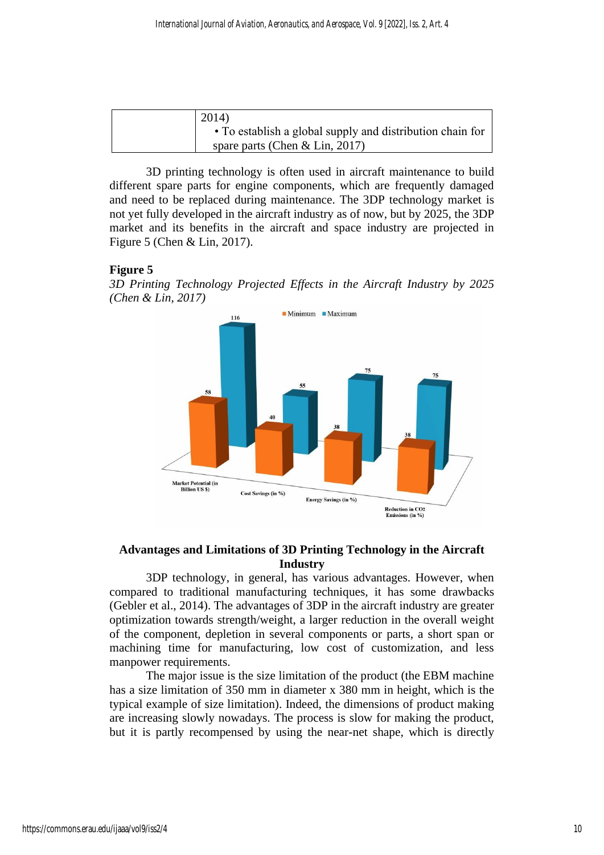| 2014)                                                     |
|-----------------------------------------------------------|
| • To establish a global supply and distribution chain for |
| spare parts (Chen & Lin, 2017)                            |

3D printing technology is often used in aircraft maintenance to build different spare parts for engine components, which are frequently damaged and need to be replaced during maintenance. The 3DP technology market is not yet fully developed in the aircraft industry as of now, but by 2025, the 3DP market and its benefits in the aircraft and space industry are projected in Figure 5 (Chen & Lin, 2017).

#### **Figure 5**

*3D Printing Technology Projected Effects in the Aircraft Industry by 2025 (Chen & Lin, 2017)*



# **Advantages and Limitations of 3D Printing Technology in the Aircraft Industry**

3DP technology, in general, has various advantages. However, when compared to traditional manufacturing techniques, it has some drawbacks (Gebler et al., 2014). The advantages of 3DP in the aircraft industry are greater optimization towards strength/weight, a larger reduction in the overall weight of the component, depletion in several components or parts, a short span or machining time for manufacturing, low cost of customization, and less manpower requirements.

The major issue is the size limitation of the product (the EBM machine has a size limitation of 350 mm in diameter x 380 mm in height, which is the typical example of size limitation). Indeed, the dimensions of product making are increasing slowly nowadays. The process is slow for making the product, but it is partly recompensed by using the near-net shape, which is directly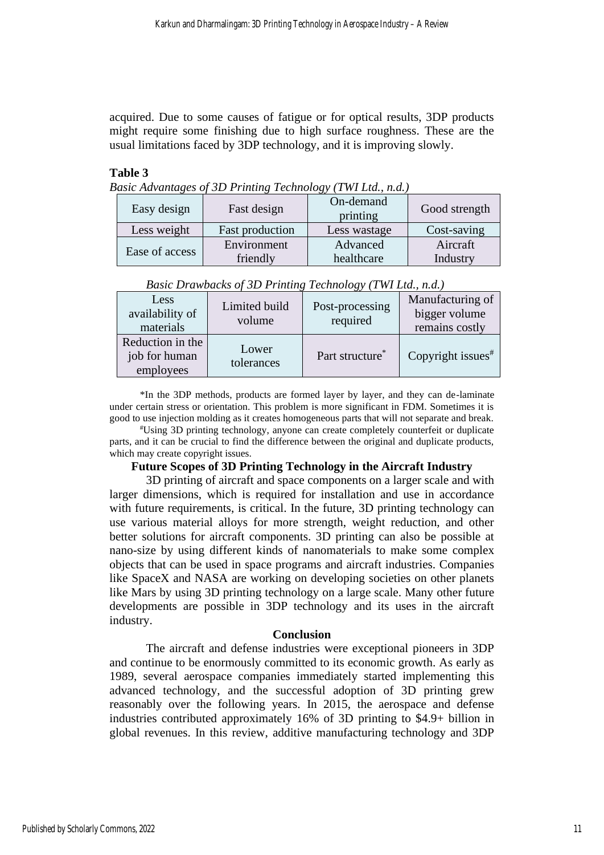acquired. Due to some causes of fatigue or for optical results, 3DP products might require some finishing due to high surface roughness. These are the usual limitations faced by 3DP technology, and it is improving slowly.

#### **Table 3**

*Basic Advantages of 3D Printing Technology (TWI Ltd., n.d.)*

| Easy design    |          | Fast design            | $\cup$<br>On-demand<br>printing | Good strength |
|----------------|----------|------------------------|---------------------------------|---------------|
| Less weight    |          | <b>Fast production</b> | Less wastage                    | Cost-saving   |
|                |          | Environment            | Advanced                        | Aircraft      |
| Ease of access | friendly | healthcare             | Industry                        |               |

|                                                |                         | ື                           |                                                     |
|------------------------------------------------|-------------------------|-----------------------------|-----------------------------------------------------|
| Less<br>availability of<br>materials           | Limited build<br>volume | Post-processing<br>required | Manufacturing of<br>bigger volume<br>remains costly |
| Reduction in the<br>job for human<br>employees | Lower<br>tolerances     | Part structure <sup>*</sup> | Copyright issues $*$                                |

| Basic Drawbacks of 3D Printing Technology (TWI Ltd., n.d.) |  |  |  |  |  |  |
|------------------------------------------------------------|--|--|--|--|--|--|
|------------------------------------------------------------|--|--|--|--|--|--|

\*In the 3DP methods, products are formed layer by layer, and they can de-laminate under certain stress or orientation. This problem is more significant in FDM. Sometimes it is good to use injection molding as it creates homogeneous parts that will not separate and break.

#Using 3D printing technology, anyone can create completely counterfeit or duplicate parts, and it can be crucial to find the difference between the original and duplicate products, which may create copyright issues.

#### **Future Scopes of 3D Printing Technology in the Aircraft Industry**

3D printing of aircraft and space components on a larger scale and with larger dimensions, which is required for installation and use in accordance with future requirements, is critical. In the future, 3D printing technology can use various material alloys for more strength, weight reduction, and other better solutions for aircraft components. 3D printing can also be possible at nano-size by using different kinds of nanomaterials to make some complex objects that can be used in space programs and aircraft industries. Companies like SpaceX and NASA are working on developing societies on other planets like Mars by using 3D printing technology on a large scale. Many other future developments are possible in 3DP technology and its uses in the aircraft industry.

#### **Conclusion**

The aircraft and defense industries were exceptional pioneers in 3DP and continue to be enormously committed to its economic growth. As early as 1989, several aerospace companies immediately started implementing this advanced technology, and the successful adoption of 3D printing grew reasonably over the following years. In 2015, the aerospace and defense industries contributed approximately 16% of 3D printing to \$4.9+ billion in global revenues. In this review, additive manufacturing technology and 3DP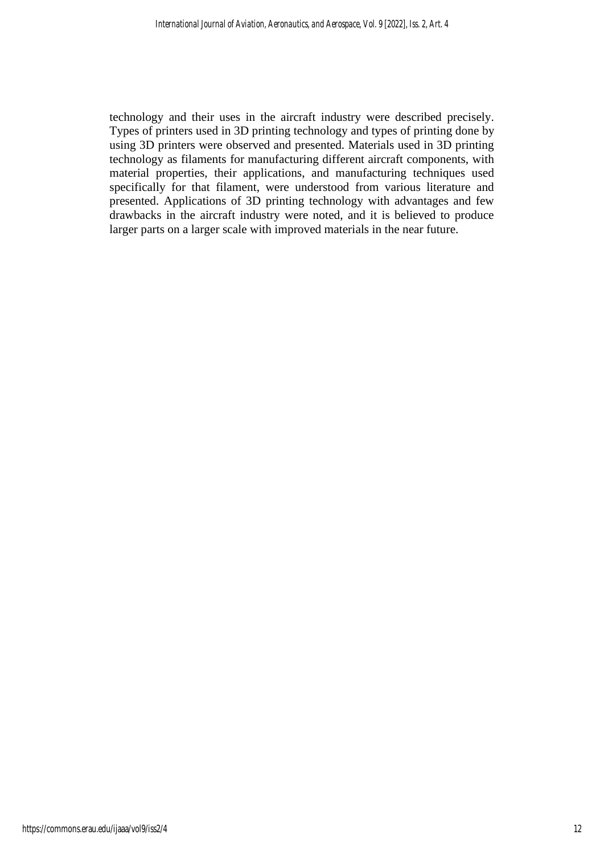technology and their uses in the aircraft industry were described precisely. Types of printers used in 3D printing technology and types of printing done by using 3D printers were observed and presented. Materials used in 3D printing technology as filaments for manufacturing different aircraft components, with material properties, their applications, and manufacturing techniques used specifically for that filament, were understood from various literature and presented. Applications of 3D printing technology with advantages and few drawbacks in the aircraft industry were noted, and it is believed to produce larger parts on a larger scale with improved materials in the near future.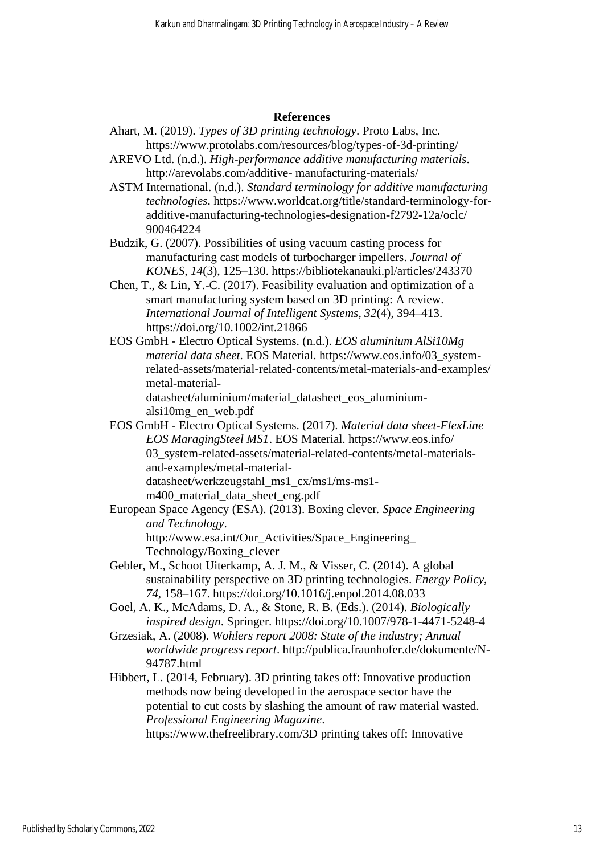#### **References**

- Ahart, M. (2019). *Types of 3D printing technology*. Proto Labs, Inc. https://www.protolabs.com/resources/blog/types-of-3d-printing/
- AREVO Ltd. (n.d.). *High-performance additive manufacturing materials*. http://arevolabs.com/additive- manufacturing-materials/
- ASTM International. (n.d.). *Standard terminology for additive manufacturing technologies*. https://www.worldcat.org/title/standard-terminology-foradditive-manufacturing-technologies-designation-f2792-12a/oclc/ 900464224

Budzik, G. (2007). Possibilities of using vacuum casting process for manufacturing cast models of turbocharger impellers. *Journal of KONES, 14*(3), 125–130. https://bibliotekanauki.pl/articles/243370

- Chen, T., & Lin, Y.-C. (2017). Feasibility evaluation and optimization of a smart manufacturing system based on 3D printing: A review. *International Journal of Intelligent Systems*, *32*(4), 394–413. https://doi.org/10.1002/int.21866
- EOS GmbH Electro Optical Systems. (n.d.). *EOS aluminium AlSi10Mg material data sheet*. EOS Material. https://www.eos.info/03\_systemrelated-assets/material-related-contents/metal-materials-and-examples/ metal-materialdatasheet/aluminium/material\_datasheet\_eos\_aluminium-

alsi10mg\_en\_web.pdf

EOS GmbH - Electro Optical Systems. (2017). *Material data sheet-FlexLine EOS MaragingSteel MS1*. EOS Material. https://www.eos.info/ 03\_system-related-assets/material-related-contents/metal-materialsand-examples/metal-materialdatasheet/werkzeugstahl\_ms1\_cx/ms1/ms-ms1-

m400 material data sheet eng.pdf

European Space Agency (ESA). (2013). Boxing clever*. Space Engineering and Technology*. http://www.esa.int/Our\_Activities/Space\_Engineering\_

Technology/Boxing\_clever

- Gebler, M., Schoot Uiterkamp, A. J. M., & Visser, C. (2014). A global sustainability perspective on 3D printing technologies. *Energy Policy*, *74*, 158–167. https://doi.org/10.1016/j.enpol.2014.08.033
- Goel, A. K., McAdams, D. A., & Stone, R. B. (Eds.). (2014). *Biologically inspired design*. Springer. https://doi.org/10.1007/978-1-4471-5248-4
- Grzesiak, A. (2008). *Wohlers report 2008: State of the industry; Annual worldwide progress report*. http://publica.fraunhofer.de/dokumente/N-94787.html
- Hibbert, L. (2014, February). 3D printing takes off: Innovative production methods now being developed in the aerospace sector have the potential to cut costs by slashing the amount of raw material wasted. *Professional Engineering Magazine*.

https://www.thefreelibrary.com/3D printing takes off: Innovative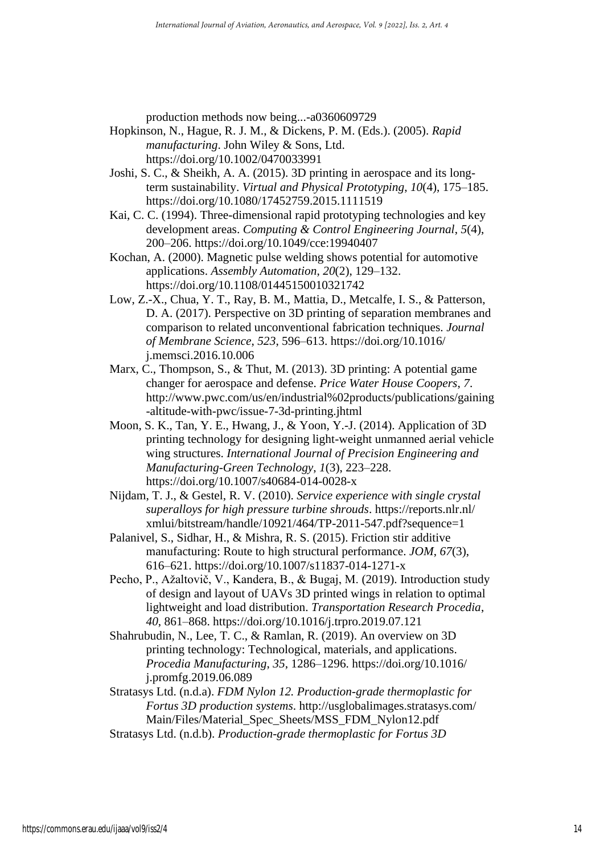production methods now being...-a0360609729

- Hopkinson, N., Hague, R. J. M., & Dickens, P. M. (Eds.). (2005). *Rapid manufacturing*. John Wiley & Sons, Ltd. https://doi.org/10.1002/0470033991
- Joshi, S. C., & Sheikh, A. A. (2015). 3D printing in aerospace and its longterm sustainability. *Virtual and Physical Prototyping*, *10*(4), 175–185. https://doi.org/10.1080/17452759.2015.1111519
- Kai, C. C. (1994). Three-dimensional rapid prototyping technologies and key development areas. *Computing & Control Engineering Journal*, *5*(4), 200–206. https://doi.org/10.1049/cce:19940407
- Kochan, A. (2000). Magnetic pulse welding shows potential for automotive applications. *Assembly Automation*, *20*(2), 129–132. https://doi.org/10.1108/01445150010321742
- Low, Z.-X., Chua, Y. T., Ray, B. M., Mattia, D., Metcalfe, I. S., & Patterson, D. A. (2017). Perspective on 3D printing of separation membranes and comparison to related unconventional fabrication techniques. *Journal of Membrane Science*, *523*, 596–613. https://doi.org/10.1016/ j.memsci.2016.10.006
- Marx, C., Thompson, S., & Thut, M. (2013). 3D printing: A potential game changer for aerospace and defense. *Price Water House Coopers*, *7*. http://www.pwc.com/us/en/industrial%02products/publications/gaining -altitude-with-pwc/issue-7-3d-printing.jhtml
- Moon, S. K., Tan, Y. E., Hwang, J., & Yoon, Y.-J. (2014). Application of 3D printing technology for designing light-weight unmanned aerial vehicle wing structures. *International Journal of Precision Engineering and Manufacturing-Green Technology*, *1*(3), 223–228. https://doi.org/10.1007/s40684-014-0028-x
- Nijdam, T. J., & Gestel, R. V. (2010). *Service experience with single crystal superalloys for high pressure turbine shrouds*. https://reports.nlr.nl/ xmlui/bitstream/handle/10921/464/TP-2011-547.pdf?sequence=1
- Palanivel, S., Sidhar, H., & Mishra, R. S. (2015). Friction stir additive manufacturing: Route to high structural performance. *JOM*, *67*(3), 616–621. https://doi.org/10.1007/s11837-014-1271-x
- Pecho, P., Ažaltovič, V., Kandera, B., & Bugaj, M. (2019). Introduction study of design and layout of UAVs 3D printed wings in relation to optimal lightweight and load distribution. *Transportation Research Procedia*, *40*, 861–868. https://doi.org/10.1016/j.trpro.2019.07.121
- Shahrubudin, N., Lee, T. C., & Ramlan, R. (2019). An overview on 3D printing technology: Technological, materials, and applications. *Procedia Manufacturing*, *35*, 1286–1296. https://doi.org/10.1016/ j.promfg.2019.06.089
- Stratasys Ltd. (n.d.a). *FDM Nylon 12. Production-grade thermoplastic for Fortus 3D production systems*. http://usglobalimages.stratasys.com/ Main/Files/Material\_Spec\_Sheets/MSS\_FDM\_Nylon12.pdf
- Stratasys Ltd. (n.d.b). *Production-grade thermoplastic for Fortus 3D*